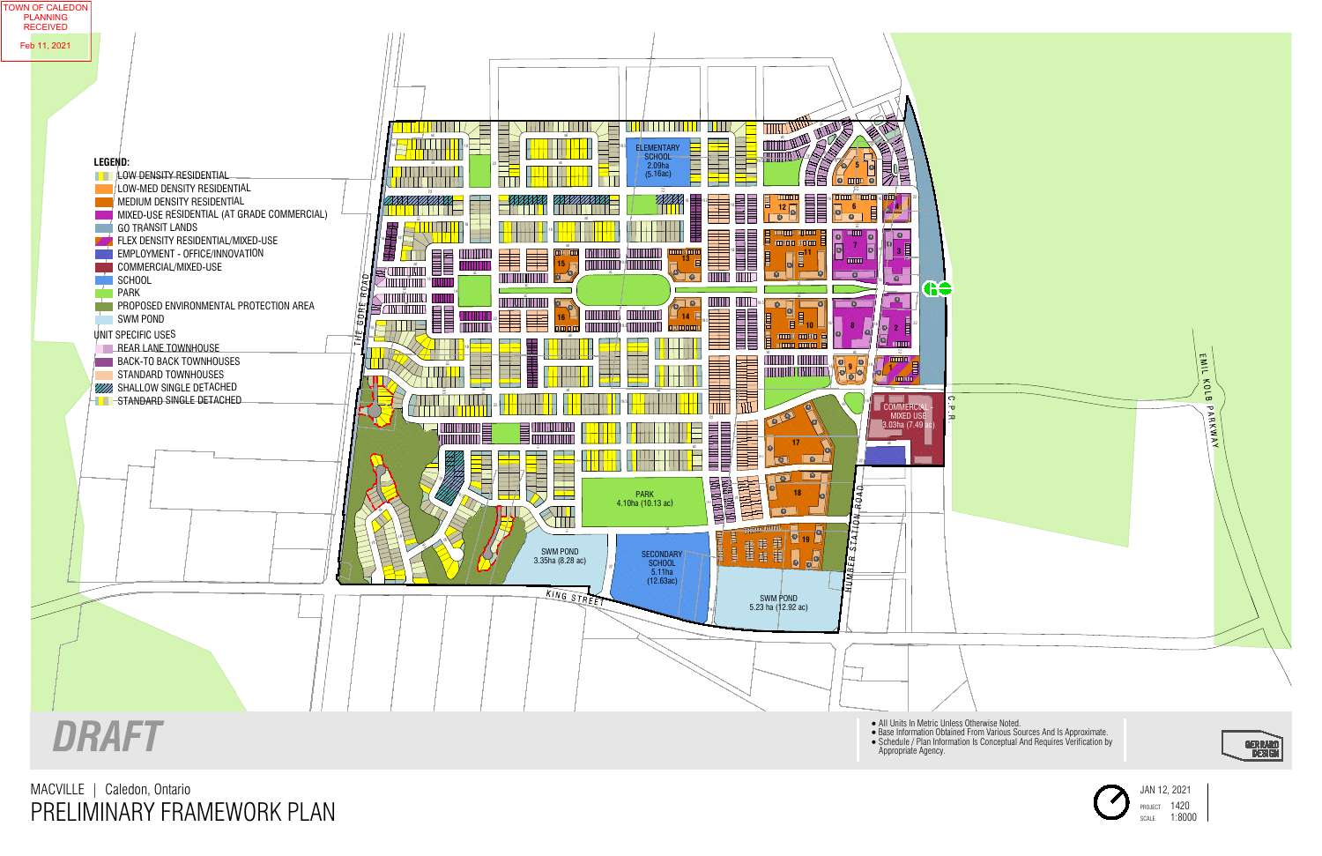